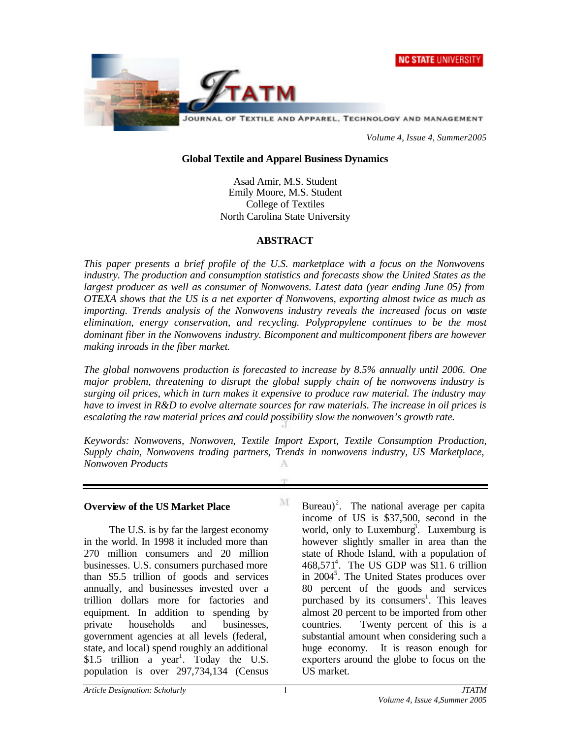



*Volume 4, Issue 4, Summer2005*

#### **Global Textile and Apparel Business Dynamics**

Asad Amir, M.S. Student Emily Moore, M.S. Student College of Textiles North Carolina State University

#### **ABSTRACT**

*This paper presents a brief profile of the U.S. marketplace with a focus on the Nonwovens industry. The production and consumption statistics and forecasts show the United States as the largest producer as well as consumer of Nonwovens. Latest data (year ending June 05) from OTEXA shows that the US is a net exporter of Nonwovens, exporting almost twice as much as importing. Trends analysis of the Nonwovens industry reveals the increased focus on waste elimination, energy conservation, and recycling. Polypropylene continues to be the most dominant fiber in the Nonwovens industry. Bicomponent and multicomponent fibers are however making inroads in the fiber market.* 

*The global nonwovens production is forecasted to increase by 8.5% annually until 2006. One major problem, threatening to disrupt the global supply chain of the nonwovens industry is surging oil prices, which in turn makes it expensive to produce raw material. The industry may have to invest in R&D to evolve alternate sources for raw materials. The increase in oil prices is escalating the raw material prices and could possibility slow the nonwoven's growth rate.* 

*Keywords: Nonwovens, Nonwoven, Textile Import Export, Textile Consumption Production, Supply chain, Nonwovens trading partners, Trends in nonwovens industry, US Marketplace, Nonwoven Products* A

M

#### **Overview of the US Market Place**

The U.S. is by far the largest economy in the world. In 1998 it included more than 270 million consumers and 20 million businesses. U.S. consumers purchased more than \$5.5 trillion of goods and services annually, and businesses invested over a trillion dollars more for factories and equipment. In addition to spending by private households and businesses, government agencies at all levels (federal, state, and local) spend roughly an additional \$1.5 trillion a year<sup>1</sup>. Today the U.S. population is over 297,734,134 (Census

Bureau)<sup>2</sup>. The national average per capita income of US is \$37,500, second in the world, only to Luxemburg<sup>3</sup>. Luxemburg is however slightly smaller in area than the state of Rhode Island, with a population of  $468,571^4$ . The US GDP was  $$11.6$  trillion in 2004<sup>5</sup>. The United States produces over 80 percent of the goods and services purchased by its consumers<sup>1</sup>. This leaves almost 20 percent to be imported from other countries. Twenty percent of this is a substantial amount when considering such a huge economy. It is reason enough for exporters around the globe to focus on the US market.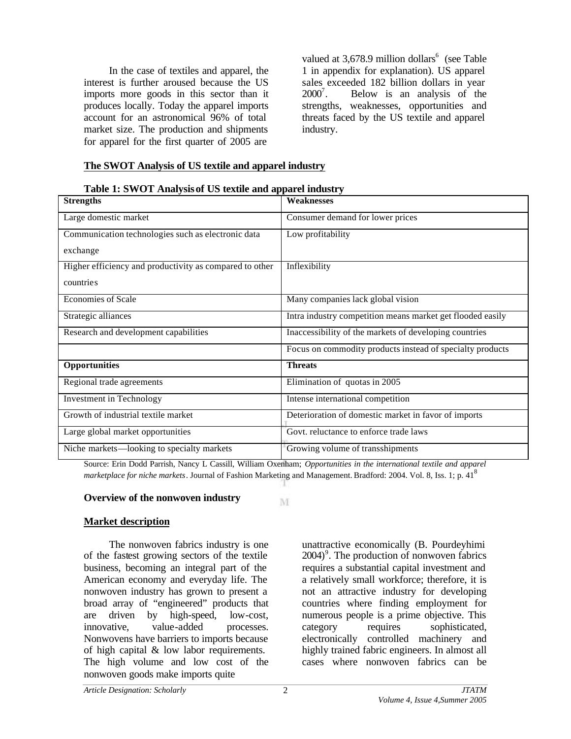In the case of textiles and apparel, the interest is further aroused because the US imports more goods in this sector than it produces locally. Today the apparel imports account for an astronomical 96% of total market size. The production and shipments for apparel for the first quarter of 2005 are

valued at  $3,678.9$  million dollars<sup>6</sup> (see Table 1 in appendix for explanation). US apparel sales exceeded 182 billion dollars in year  $2000'$ . . Below is an analysis of the strengths, weaknesses, opportunities and threats faced by the US textile and apparel industry.

#### **The SWOT Analysis of US textile and apparel industry**

|  |  | Table 1: SWOT Analysis of US textile and apparel industry |  |
|--|--|-----------------------------------------------------------|--|
|  |  |                                                           |  |

| Weaknesses                                                 |
|------------------------------------------------------------|
|                                                            |
| Consumer demand for lower prices                           |
|                                                            |
| Low profitability                                          |
|                                                            |
|                                                            |
| Inflexibility                                              |
|                                                            |
|                                                            |
| Many companies lack global vision                          |
|                                                            |
| Intra industry competition means market get flooded easily |
|                                                            |
| Inaccessibility of the markets of developing countries     |
|                                                            |
| Focus on commodity products instead of specialty products  |
| <b>Threats</b>                                             |
|                                                            |
| Elimination of quotas in 2005                              |
|                                                            |
| Intense international competition                          |
| Deterioration of domestic market in favor of imports       |
|                                                            |
| Govt. reluctance to enforce trade laws                     |
|                                                            |
| Growing volume of transshipments                           |
|                                                            |

Source: Erin Dodd Parrish, Nancy L Cassill, William Oxenham; *Opportunities in the international textile and apparel marketplace for niche markets*. Journal of Fashion Marketing and Management. Bradford: 2004. Vol. 8, Iss. 1; p. 41<sup>8</sup>

#### **Overview of the nonwoven industry**

M

#### **Market description**

The nonwoven fabrics industry is one of the fastest growing sectors of the textile business, becoming an integral part of the American economy and everyday life. The nonwoven industry has grown to present a broad array of "engineered" products that are driven by high-speed, low-cost, innovative, value-added processes. Nonwovens have barriers to imports because of high capital & low labor requirements. The high volume and low cost of the nonwoven goods make imports quite

unattractive economically (B. Pourdeyhimi  $2004)$ <sup>9</sup>. The production of nonwoven fabrics requires a substantial capital investment and a relatively small workforce; therefore, it is not an attractive industry for developing countries where finding employment for numerous people is a prime objective. This category requires sophisticated, electronically controlled machinery and highly trained fabric engineers. In almost all cases where nonwoven fabrics can be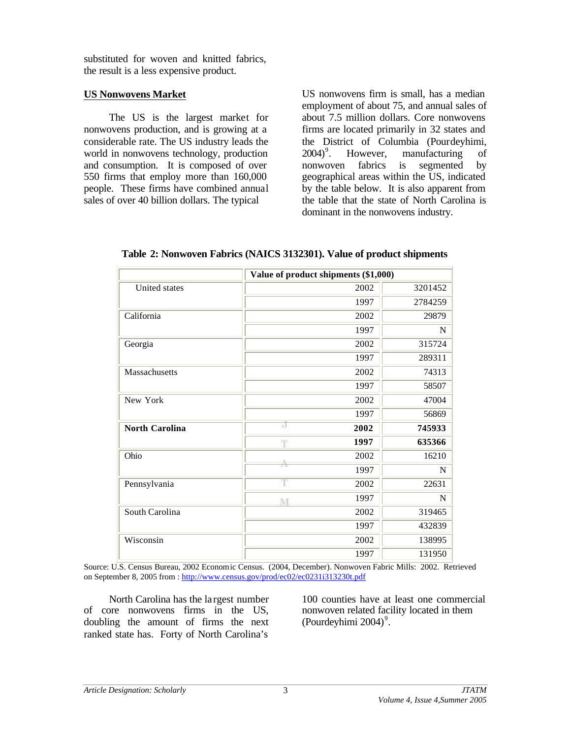substituted for woven and knitted fabrics, the result is a less expensive product.

## **US Nonwovens Market**

The US is the largest market for nonwovens production, and is growing at a considerable rate. The US industry leads the world in nonwovens technology, production and consumption. It is composed of over 550 firms that employ more than 160,000 people. These firms have combined annual sales of over 40 billion dollars. The typical

US nonwovens firm is small, has a median employment of about 75, and annual sales of about 7.5 million dollars. Core nonwovens firms are located primarily in 32 states and the District of Columbia (Pourdeyhimi,  $2004)^9$ . . However, manufacturing of nonwoven fabrics is segmented by geographical areas within the US, indicated by the table below. It is also apparent from the table that the state of North Carolina is dominant in the nonwovens industry.

|                       | Value of product shipments (\$1,000) |         |
|-----------------------|--------------------------------------|---------|
| United states         | 2002                                 | 3201452 |
|                       | 1997                                 | 2784259 |
| California            | 2002                                 | 29879   |
|                       | 1997                                 | N       |
| Georgia               | 2002                                 | 315724  |
|                       | 1997                                 | 289311  |
| Massachusetts         | 2002                                 | 74313   |
|                       | 1997                                 | 58507   |
| New York              | 2002                                 | 47004   |
|                       | 1997                                 | 56869   |
| <b>North Carolina</b> | ×.<br>2002                           | 745933  |
|                       | 1997                                 | 635366  |
| Ohio                  | 2002                                 | 16210   |
|                       | 1997                                 | N       |
| Pennsylvania          | 2002                                 | 22631   |
|                       | 1997                                 | N       |
| South Carolina        | 2002                                 | 319465  |
|                       | 1997                                 | 432839  |
| Wisconsin             | 2002                                 | 138995  |
|                       | 1997                                 | 131950  |

**Table 2: Nonwoven Fabrics (NAICS 3132301). Value of product shipments**

Source: U.S. Census Bureau, 2002 Economic Census. (2004, December). Nonwoven Fabric Mills: 2002. Retrieved on September 8, 2005 from : http://www.census.gov/prod/ec02/ec0231i313230t.pdf

North Carolina has the la rgest number of core nonwovens firms in the US, doubling the amount of firms the next ranked state has. Forty of North Carolina's

100 counties have at least one commercial nonwoven related facility located in them (Pourdeyhimi  $2004$ )<sup>9</sup>.

3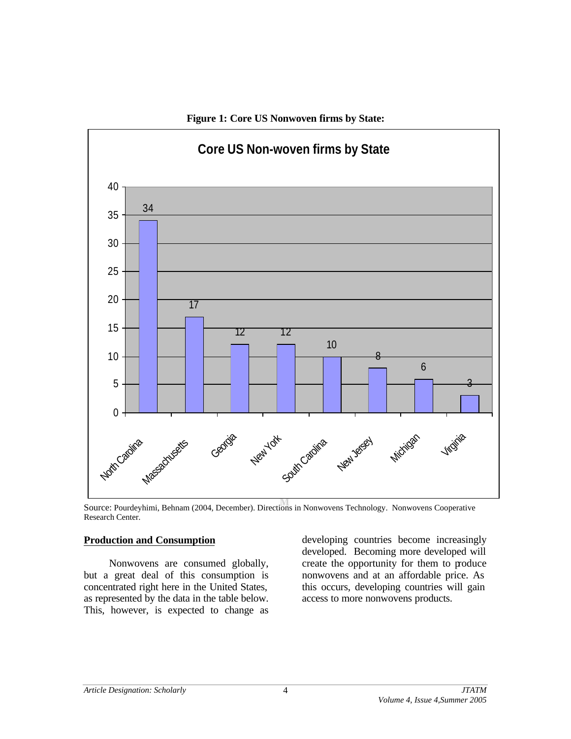

Source: Pourdeyhimi, Behnam (2004, December). Directions in Nonwovens Technology. Nonwovens Cooperative Research Center.

#### **Production and Consumption**

Nonwovens are consumed globally, but a great deal of this consumption is concentrated right here in the United States, as represented by the data in the table below. This, however, is expected to change as

developing countries become increasingly developed. Becoming more developed will create the opportunity for them to produce nonwovens and at an affordable price. As this occurs, developing countries will gain access to more nonwovens products.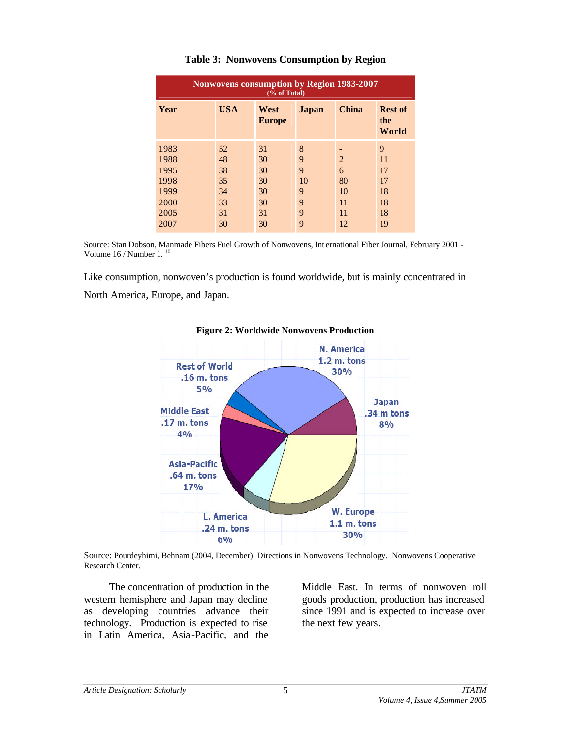| <b>Nonwovens consumption by Region 1983-2007</b><br>% of Total |            |                       |       |                |                                |  |  |
|----------------------------------------------------------------|------------|-----------------------|-------|----------------|--------------------------------|--|--|
| Year                                                           | <b>USA</b> | West<br><b>Europe</b> | Japan | <b>China</b>   | <b>Rest of</b><br>the<br>World |  |  |
| 1983                                                           | 52         | 31                    | 8     |                | 9                              |  |  |
| 1988                                                           | 48         | 30                    | 9     | $\overline{2}$ | 11                             |  |  |
| 1995                                                           | 38         | 30                    | 9     | 6              | 17                             |  |  |
| 1998                                                           | 35         | 30                    | 10    | 80             | 17                             |  |  |
| 1999                                                           | 34         | 30                    | 9     | 10             | 18                             |  |  |
| 2000                                                           | 33         | 30                    | 9     | 11             | 18                             |  |  |
| 2005                                                           | 31         | 31                    | 9     | 11             | 18                             |  |  |
| 2007                                                           | 30         | 30                    | 9     | 12             | 19                             |  |  |

## **Table 3: Nonwovens Consumption by Region**

Source: Stan Dobson, Manmade Fibers Fuel Growth of Nonwovens, Int ernational Fiber Journal, February 2001 - Volume  $16 /$  Number 1.  $^{10}$ 

Like consumption, nonwoven's production is found worldwide, but is mainly concentrated in

North America, Europe, and Japan.



**Figure 2: Worldwide Nonwovens Production**

Source: Pourdeyhimi, Behnam (2004, December). Directions in Nonwovens Technology. Nonwovens Cooperative Research Center.

The concentration of production in the western hemisphere and Japan may decline as developing countries advance their technology. Production is expected to rise in Latin America, Asia -Pacific, and the

Middle East. In terms of nonwoven roll goods production, production has increased since 1991 and is expected to increase over the next few years.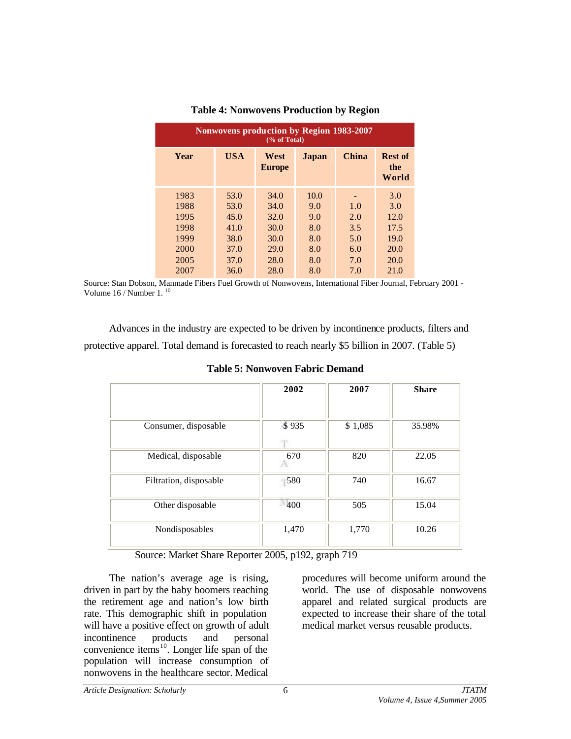| <b>Nonwovens production by Region 1983-2007</b><br>% of Total |            |                       |       |       |                                |  |
|---------------------------------------------------------------|------------|-----------------------|-------|-------|--------------------------------|--|
| <b>Year</b>                                                   | <b>USA</b> | West<br><b>Europe</b> | Japan | China | <b>Rest of</b><br>the<br>World |  |
| 1983                                                          | 53.0       | 34.0                  | 10.0  |       | 3.0                            |  |
|                                                               |            |                       |       |       |                                |  |
| 1988                                                          | 53.0       | 34.0                  | 9.0   | 1.0   | 3.0                            |  |
| 1995                                                          | 45.0       | 32.0                  | 9.0   | 2.0   | 12.0                           |  |
| 1998                                                          | 41.0       | 30.0                  | 8.0   | 3.5   | 17.5                           |  |
| 1999                                                          | 38.0       | 30.0                  | 8.0   | 5.0   | 19.0                           |  |
| 2000                                                          | 37.0       | 29.0                  | 8.0   | 6.0   | 20.0                           |  |
| 2005                                                          | 37.0       | 28.0                  | 8.0   | 7.0   | 20.0                           |  |
| 2007                                                          | 36.0       | 28.0                  | 8.0   | 7.0   | 21.0                           |  |

#### **Table 4: Nonwovens Production by Region**

Source: Stan Dobson, Manmade Fibers Fuel Growth of Nonwovens, International Fiber Journal, February 2001 - Volume 16 / Number 1. <sup>10</sup>

Advances in the industry are expected to be driven by incontinence products, filters and protective apparel. Total demand is forecasted to reach nearly \$5 billion in 2007. (Table 5)

|                        | 2002  | 2007    | <b>Share</b> |
|------------------------|-------|---------|--------------|
| Consumer, disposable   | \$935 | \$1,085 | 35.98%       |
| Medical, disposable    | 670   | 820     | 22.05        |
| Filtration, disposable | 580   | 740     | 16.67        |
| Other disposable       | 400   | 505     | 15.04        |
| Nondisposables         | 1,470 | 1,770   | 10.26        |

**Table 5: Nonwoven Fabric Demand**

Source: Market Share Reporter 2005, p192, graph 719

The nation's average age is rising, driven in part by the baby boomers reaching the retirement age and nation's low birth rate. This demographic shift in population will have a positive effect on growth of adult incontinence products and personal convenience items<sup>10</sup>. Longer life span of the population will increase consumption of nonwovens in the healthcare sector. Medical

procedures will become uniform around the world. The use of disposable nonwovens apparel and related surgical products are expected to increase their share of the total medical market versus reusable products.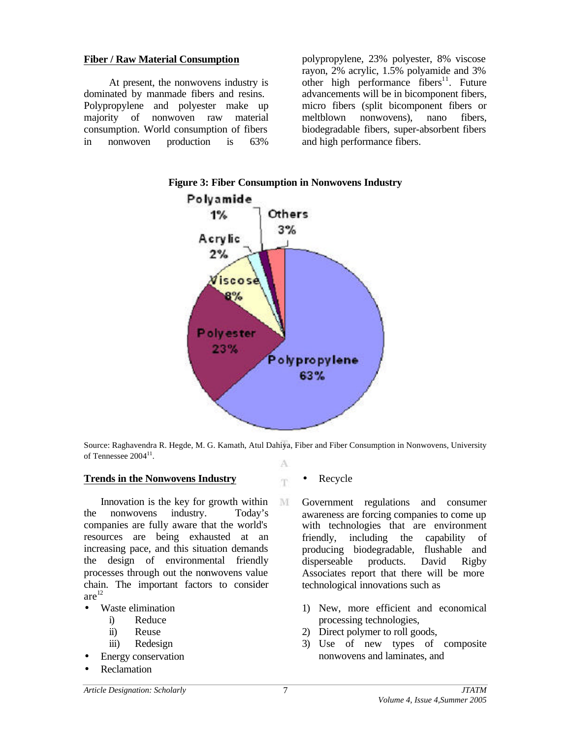#### **Fiber / Raw Material Consumption**

At present, the nonwovens industry is dominated by manmade fibers and resins. Polypropylene and polyester make up majority of nonwoven raw material consumption. World consumption of fibers in nonwoven production is 63%

polypropylene, 23% polyester, 8% viscose rayon, 2% acrylic, 1.5% polyamide and 3% other high performance fibers<sup>11</sup>. Future advancements will be in bicomponent fibers, micro fibers (split bicomponent fibers or meltblown nonwovens), nano fibers, biodegradable fibers, super-absorbent fibers and high performance fibers.



#### **Figure 3: Fiber Consumption in Nonwovens Industry**

Source: Raghavendra R. Hegde, M. G. Kamath, Atul Dahiya, Fiber and Fiber Consumption in Nonwovens, University of Tennessee 2004<sup>11</sup>. A

'n.

M

#### **Trends in the Nonwovens Industry**

Innovation is the key for growth within the nonwovens industry. Today's companies are fully aware that the world's resources are being exhausted at an increasing pace, and this situation demands the design of environmental friendly processes through out the nonwovens value chain. The important factors to consider are 12

- Waste elimination
	- i) Reduce
	- ii) Reuse
	- iii) Redesign
- Energy conservation
- **Reclamation**
- Recycle
- Government regulations and consumer awareness are forcing companies to come up with technologies that are environment friendly, including the capability of producing biodegradable, flushable and disperseable products. David Rigby Associates report that there will be more technological innovations such as
	- 1) New, more efficient and economical processing technologies,
	- 2) Direct polymer to roll goods,
	- 3) Use of new types of composite nonwovens and laminates, and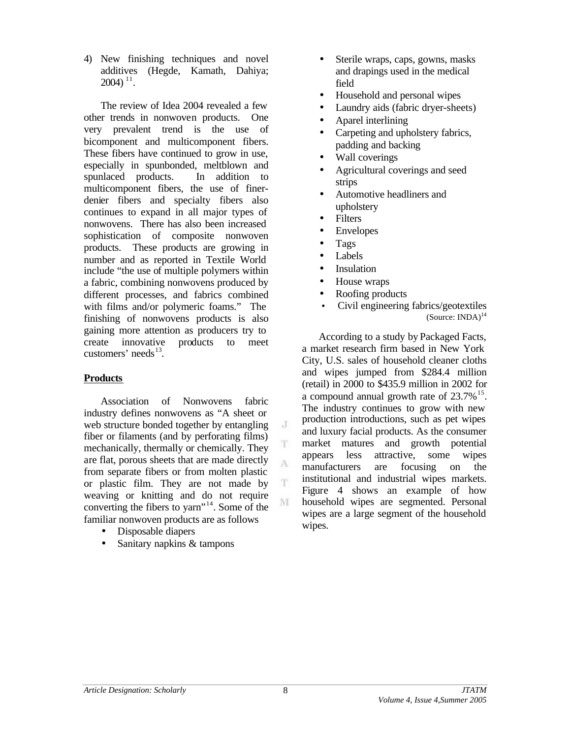4) New finishing techniques and novel additives (Hegde, Kamath, Dahiya;  $2004)$ <sup>11</sup>.

The review of Idea 2004 revealed a few other trends in nonwoven products. One very prevalent trend is the use of bicomponent and multicomponent fibers. These fibers have continued to grow in use, especially in spunbonded, meltblown and spunlaced products. In addition to multicomponent fibers, the use of finerdenier fibers and specialty fibers also continues to expand in all major types of nonwovens. There has also been increased sophistication of composite nonwoven products. These products are growing in number and as reported in Textile World include "the use of multiple polymers within a fabric, combining nonwovens produced by different processes, and fabrics combined with films and/or polymeric foams." The finishing of nonwovens products is also gaining more attention as producers try to create innovative products to meet customers' needs $^{13}$ .

# **Products**

Association of Nonwovens fabric industry defines nonwovens as "A sheet or web structure bonded together by entangling fiber or filaments (and by perforating films) mechanically, thermally or chemically. They are flat, porous sheets that are made directly from separate fibers or from molten plastic or plastic film. They are not made by weaving or knitting and do not require converting the fibers to yarn"<sup>14</sup>. Some of the familiar nonwoven products are as follows

- Disposable diapers
- Sanitary napkins & tampons
- Sterile wraps, caps, gowns, masks and drapings used in the medical field
- Household and personal wipes
- Laundry aids (fabric dryer-sheets)
- Aparel interlining
- Carpeting and upholstery fabrics, padding and backing
- Wall coverings
- Agricultural coverings and seed strips
- Automotive headliners and upholstery
- Filters
- Envelopes
- Tags
- Labels
- Insulation
- House wraps
- Roofing products
- Civil engineering fabrics/geotextiles (Source:  $INDA)^{14}$ )

According to a study by Packaged Facts, a market research firm based in New York City, U.S. sales of household cleaner cloths and wipes jumped from \$284.4 million (retail) in 2000 to \$435.9 million in 2002 for a compound annual growth rate of  $23.7\%$ <sup>15</sup>. The industry continues to grow with new production introductions, such as pet wipes and luxury facial products. As the consumer market matures and growth potential appears less attractive, some wipes manufacturers are focusing on the institutional and industrial wipes markets. Figure 4 shows an example of how household wipes are segmented. Personal wipes are a large segment of the household wipes.

J

T

A

 $\mathbf T$ 

M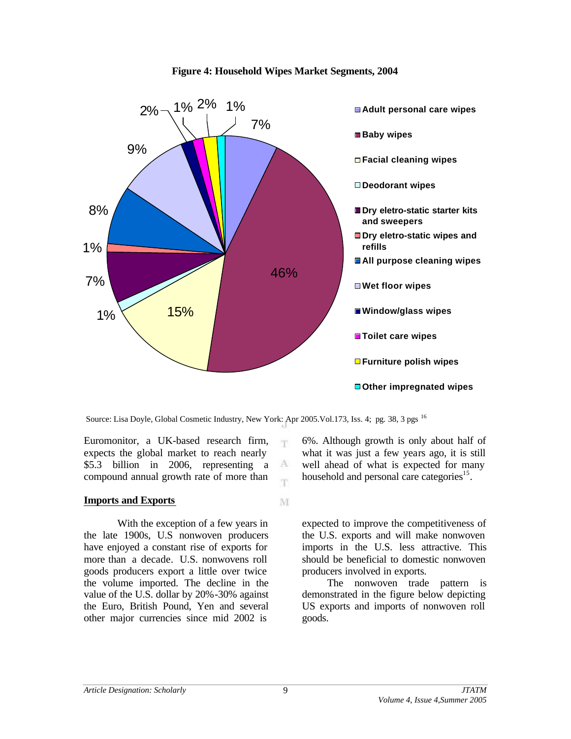

#### **Figure 4: Household Wipes Market Segments, 2004**

Source: Lisa Doyle, Global Cosmetic Industry, New York: Apr 2005.Vol.173, Iss. 4; pg. 38, 3 pgs <sup>16</sup>

m

A 'n

M

Euromonitor, a UK-based research firm, expects the global market to reach nearly \$5.3 billion in 2006, representing a compound annual growth rate of more than

#### **Imports and Exports**

With the exception of a few years in the late 1900s, U.S nonwoven producers have enjoyed a constant rise of exports for more than a decade. U.S. nonwovens roll goods producers export a little over twice the volume imported. The decline in the value of the U.S. dollar by 20%-30% against the Euro, British Pound, Yen and several other major currencies since mid 2002 is

6%. Although growth is only about half of what it was just a few years ago, it is still well ahead of what is expected for many household and personal care categories<sup>15</sup>.

expected to improve the competitiveness of the U.S. exports and will make nonwoven imports in the U.S. less attractive. This should be beneficial to domestic nonwoven producers involved in exports.

The nonwoven trade pattern is demonstrated in the figure below depicting US exports and imports of nonwoven roll goods.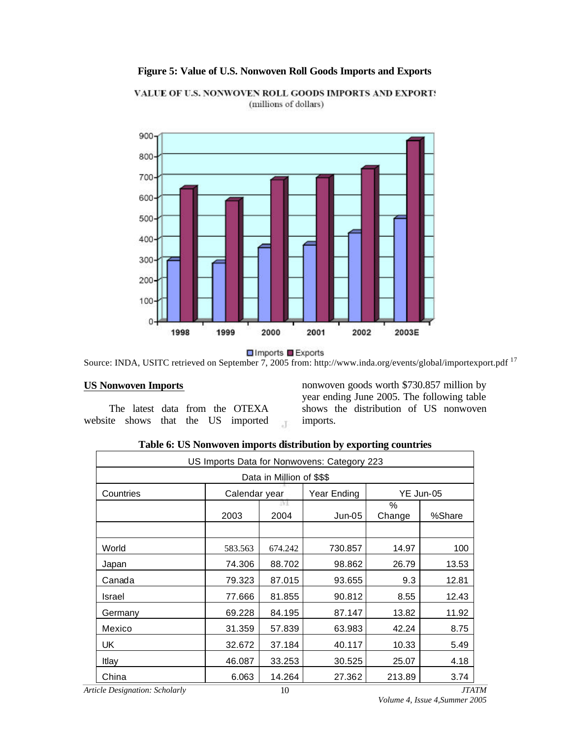## **Figure 5: Value of U.S. Nonwoven Roll Goods Imports and Exports**



VALUE OF U.S. NONWOVEN ROLL GOODS IMPORTS AND EXPORT! (millions of dollars)

**■** Imports ■ Exports<br>Source: INDA, USITC retrieved on September 7, 2005 from: http://www.inda.org/events/global/importexport.pdf <sup>17</sup>

#### **US Nonwoven Imports**

The latest data from the OTEXA website shows that the US imported nonwoven goods worth \$730.857 million by year ending June 2005. The following table shows the distribution of US nonwoven imports.

| US Imports Data for Nonwovens: Category 223 |               |                           |             |                |        |
|---------------------------------------------|---------------|---------------------------|-------------|----------------|--------|
|                                             |               | Data in Million of \$\$\$ |             |                |        |
| Countries                                   | Calendar year |                           | Year Ending | YE Jun-05      |        |
|                                             | 2003          | 2004                      | Jun-05      | $\%$<br>Change | %Share |
| World                                       | 583.563       | 674.242                   | 730.857     | 14.97          | 100    |
| Japan                                       | 74.306        | 88.702                    | 98.862      | 26.79          | 13.53  |
| Canada                                      | 79.323        | 87.015                    | 93.655      | 9.3            | 12.81  |
| Israel                                      | 77.666        | 81.855                    | 90.812      | 8.55           | 12.43  |
| Germany                                     | 69.228        | 84.195                    | 87.147      | 13.82          | 11.92  |
| Mexico                                      | 31.359        | 57.839                    | 63.983      | 42.24          | 8.75   |
| UK                                          | 32.672        | 37.184                    | 40.117      | 10.33          | 5.49   |
| Itlay                                       | 46.087        | 33.253                    | 30.525      | 25.07          | 4.18   |
| China                                       | 6.063         | 14.264                    | 27.362      | 213.89         | 3.74   |

**Table 6: US Nonwoven imports distribution by exporting countries**

J.

*Article Designation: Scholarly JTATM*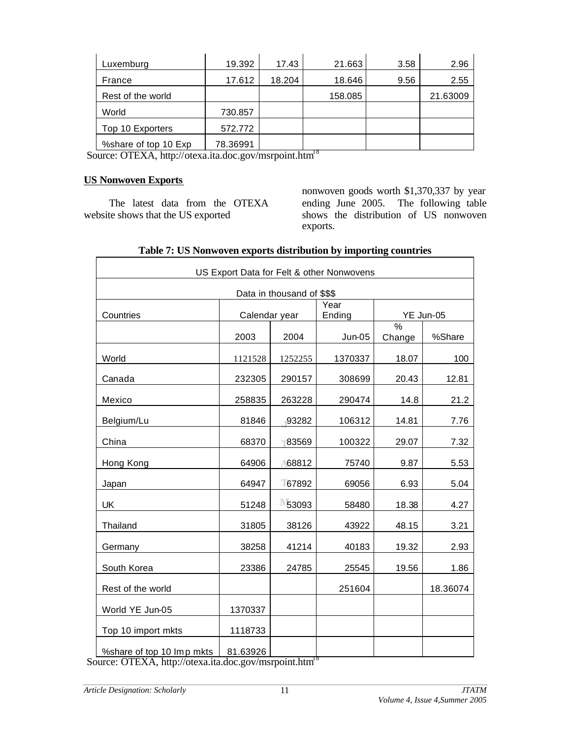| Luxemburg            | 19.392   | 17.43  | 21.663  | 3.58 | 2.96     |
|----------------------|----------|--------|---------|------|----------|
| France               | 17.612   | 18.204 | 18.646  | 9.56 | 2.55     |
| Rest of the world    |          |        | 158.085 |      | 21.63009 |
| World                | 730.857  |        |         |      |          |
| Top 10 Exporters     | 572,772  |        |         |      |          |
| %share of top 10 Exp | 78.36991 |        |         |      |          |

Source: OTEXA, http://otexa.ita.doc.gov/msrpoint.htm<sup>18</sup>

#### **US Nonwoven Exports**

The latest data from the OTEXA website shows that the US exported

nonwoven goods worth \$1,370,337 by year ending June 2005. The following table shows the distribution of US nonwoven exports.

| US Export Data for Felt & other Nonwovens |               |                            |                |                         |          |
|-------------------------------------------|---------------|----------------------------|----------------|-------------------------|----------|
|                                           |               | Data in thousand of \$\$\$ |                |                         |          |
| Countries                                 | Calendar year |                            | Year<br>Ending | YE Jun-05               |          |
|                                           | 2003          | 2004                       | <b>Jun-05</b>  | $\frac{0}{6}$<br>Change | %Share   |
| World                                     | 1121528       | 1252255                    | 1370337        | 18.07                   | 100      |
| Canada                                    | 232305        | 290157                     | 308699         | 20.43                   | 12.81    |
| Mexico                                    | 258835        | 263228                     | 290474         | 14.8                    | 21.2     |
| Belgium/Lu                                | 81846         | 93282                      | 106312         | 14.81                   | 7.76     |
| China                                     | 68370         | 83569                      | 100322         | 29.07                   | 7.32     |
| Hong Kong                                 | 64906         | 68812                      | 75740          | 9.87                    | 5.53     |
| Japan                                     | 64947         | 67892                      | 69056          | 6.93                    | 5.04     |
| UK                                        | 51248         | 53093                      | 58480          | 18.38                   | 4.27     |
| Thailand                                  | 31805         | 38126                      | 43922          | 48.15                   | 3.21     |
| Germany                                   | 38258         | 41214                      | 40183          | 19.32                   | 2.93     |
| South Korea                               | 23386         | 24785                      | 25545          | 19.56                   | 1.86     |
| Rest of the world                         |               |                            | 251604         |                         | 18.36074 |
| World YE Jun-05                           | 1370337       |                            |                |                         |          |
| Top 10 import mkts                        | 1118733       |                            |                |                         |          |
| %share of top 10 lmp mkts                 | 81.63926      |                            |                |                         |          |

#### **Table 7: US Nonwoven exports distribution by importing countries**

Source: OTEXA, http://otexa.ita.doc.gov/msrpoint.htm<sup>18</sup>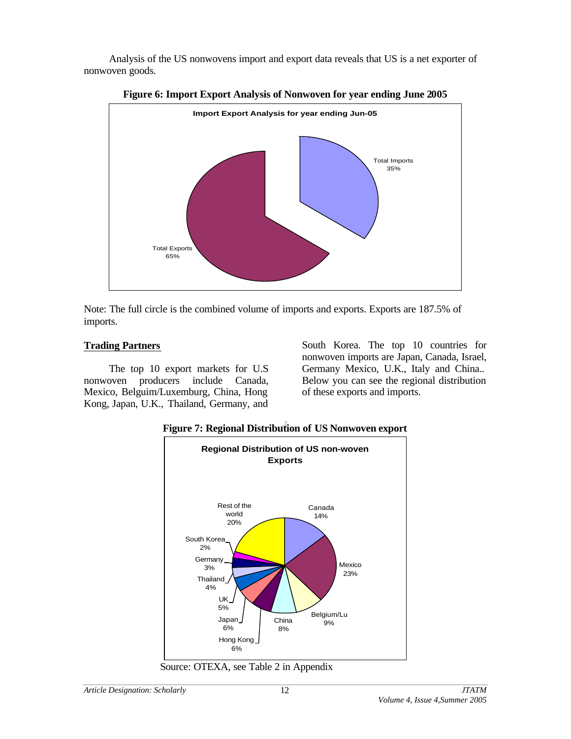Analysis of the US nonwovens import and export data reveals that US is a net exporter of nonwoven goods.



**Figure 6: Import Export Analysis of Nonwoven for year ending June 2005**

Note: The full circle is the combined volume of imports and exports. Exports are 187.5% of imports.

# **Trading Partners**

The top 10 export markets for U.S nonwoven producers include Canada, Mexico, Belguim/Luxemburg, China, Hong Kong, Japan, U.K., Thailand, Germany, and South Korea. The top 10 countries for nonwoven imports are Japan, Canada, Israel, Germany Mexico, U.K., Italy and China.. Below you can see the regional distribution of these exports and imports.



**Figure 7: Regional Distribution of US Nonwoven export**

Source: OTEXA, see Table 2 in Appendix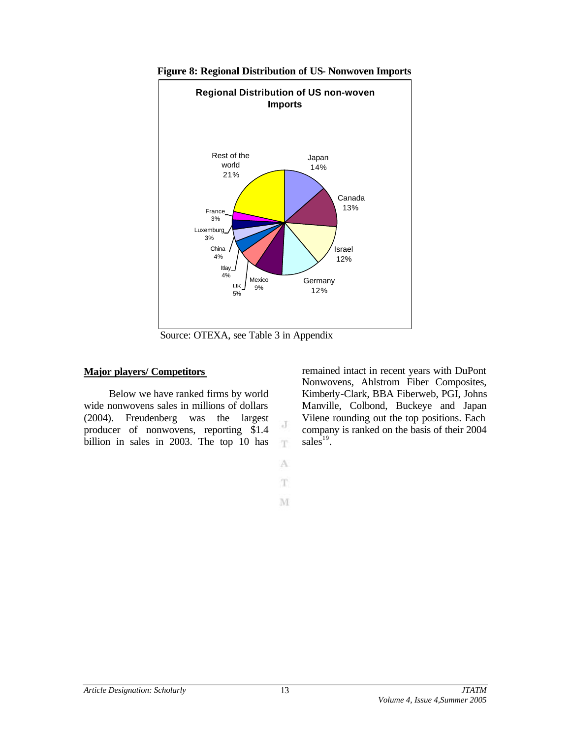

#### **Figure 8: Regional Distribution of US- Nonwoven Imports**

Source: OTEXA, see Table 3 in Appendix

## **Major players/ Competitors**

Below we have ranked firms by world wide nonwovens sales in millions of dollars (2004). Freudenberg was the largest producer of nonwovens, reporting \$1.4 billion in sales in 2003. The top 10 has

remained intact in recent years with DuPont Nonwovens, Ahlstrom Fiber Composites, Kimberly-Clark, BBA Fiberweb, PGI, Johns Manville, Colbond, Buckeye and Japan Vilene rounding out the top positions. Each company is ranked on the basis of their 2004 sales<sup>19</sup>.

A T

 $\rm _{c}J$  $\mathbf{T}$ 

M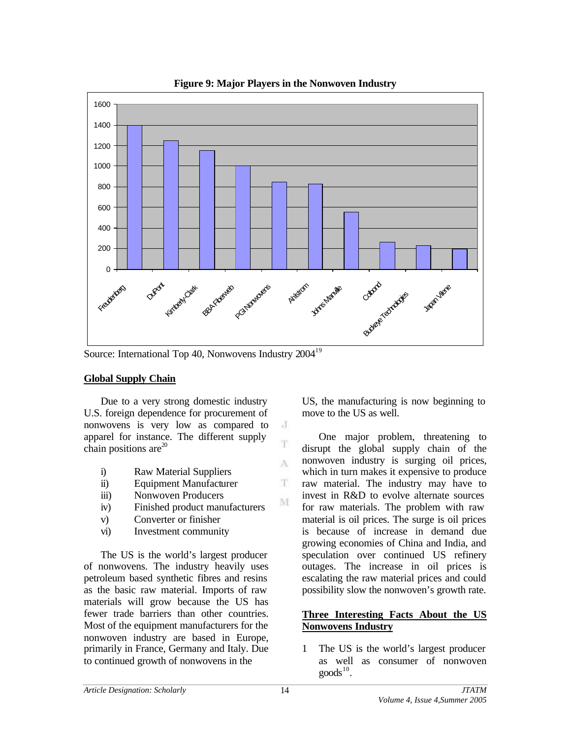

 $\cdot$  J T

A

T

M

**Figure 9: Major Players in the Nonwoven Industry**

Source: International Top 40, Nonwovens Industry 2004<sup>19</sup>

#### **Global Supply Chain**

Due to a very strong domestic industry U.S. foreign dependence for procurement of nonwovens is very low as compared to apparel for instance. The different supply chain positions are $^{20}$ 

- i) Raw Material Suppliers
- ii) Equipment Manufacturer
- iii) Nonwoven Producers
- iv) Finished product manufacturers
- v) Converter or finisher
- vi) Investment community

The US is the world's largest producer of nonwovens. The industry heavily uses petroleum based synthetic fibres and resins as the basic raw material. Imports of raw materials will grow because the US has fewer trade barriers than other countries. Most of the equipment manufacturers for the nonwoven industry are based in Europe, primarily in France, Germany and Italy. Due to continued growth of nonwovens in the

US, the manufacturing is now beginning to move to the US as well.

One major problem, threatening to disrupt the global supply chain of the nonwoven industry is surging oil prices, which in turn makes it expensive to produce raw material. The industry may have to invest in R&D to evolve alternate sources for raw materials. The problem with raw material is oil prices. The surge is oil prices is because of increase in demand due growing economies of China and India, and speculation over continued US refinery outages. The increase in oil prices is escalating the raw material prices and could possibility slow the nonwoven's growth rate.

## **Three Interesting Facts About the US Nonwovens Industry**

1 The US is the world's largest producer as well as consumer of nonwoven  $\text{goods}^{10}$ .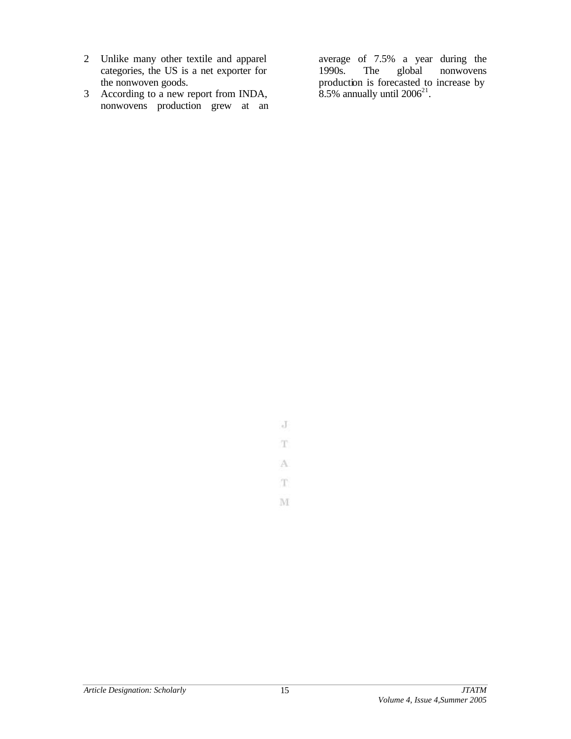- 2 Unlike many other textile and apparel categories, the US is a net exporter for the nonwoven goods.
- 3 According to a new report from INDA, nonwovens production grew at an

average of 7.5% a year during the 1990s. The global nonwovens production is forecasted to increase by  $8.5\%$  annually until  $2006^{21}$ .

 $\rm J$  $\mathbf{T}$ A  $\mathbf{T}$ 

 $\mathbf{M}$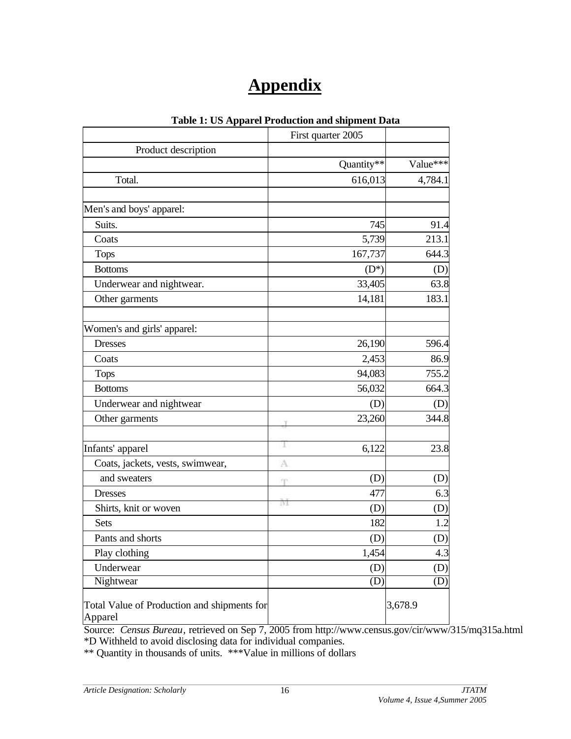# **Appendix**

|                                                        | First quarter 2005 |          |
|--------------------------------------------------------|--------------------|----------|
| Product description                                    |                    |          |
|                                                        | Quantity**         | Value*** |
| Total.                                                 | 616,013            | 4,784.1  |
| Men's and boys' apparel:                               |                    |          |
| Suits.                                                 | 745                | 91.4     |
| Coats                                                  | 5,739              | 213.1    |
| <b>Tops</b>                                            | 167,737            | 644.3    |
| <b>Bottoms</b>                                         | $(D^*)$            | (D)      |
| Underwear and nightwear.                               | 33,405             | 63.8     |
| Other garments                                         | 14,181             | 183.1    |
| Women's and girls' apparel:                            |                    |          |
| <b>Dresses</b>                                         | 26,190             | 596.4    |
| Coats                                                  | 2,453              | 86.9     |
| <b>Tops</b>                                            | 94,083             | 755.2    |
| <b>Bottoms</b>                                         | 56,032             | 664.3    |
| Underwear and nightwear                                | (D)                | (D)      |
| Other garments                                         | 23,260             | 344.8    |
| Infants' apparel                                       | 6,122              | 23.8     |
| Coats, jackets, vests, swimwear,                       | A                  |          |
| and sweaters                                           | (D)<br>m           | (D)      |
| <b>Dresses</b>                                         | 477                | 6.3      |
| Shirts, knit or woven                                  | TAT<br>(D)         | (D)      |
| Sets                                                   | 182                | 1.2      |
| Pants and shorts                                       | (D)                | (D)      |
| Play clothing                                          | 1,454              | 4.3      |
| Underwear                                              | (D)                | (D)      |
| Nightwear                                              | (D)                | (D)      |
| Total Value of Production and shipments for<br>Apparel |                    | 3,678.9  |

# **Table 1: US Apparel Production and shipment Data**

Source: *Census Bureau,* retrieved on Sep 7, 2005 from http://www.census.gov/cir/www/315/mq315a.html \*D Withheld to avoid disclosing data for individual companies.

\*\* Quantity in thousands of units. \*\*\*Value in millions of dollars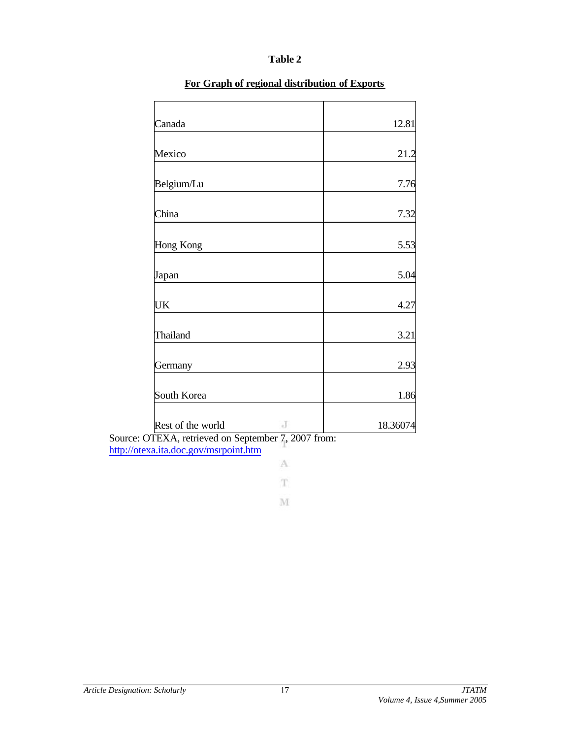# **Table 2**

| Canada                 | 12.81    |
|------------------------|----------|
| Mexico                 | 21.2     |
| Belgium/Lu             | 7.76     |
| China                  | 7.32     |
| Hong Kong              | 5.53     |
| Japan                  | 5.04     |
| UK                     | 4.27     |
| Thailand               | 3.21     |
| Germany                | 2.93     |
| South Korea            | 1.86     |
| J<br>Rest of the world | 18.36074 |

# **For Graph of regional distribution of Exports**

Source: OTEXA, retrieved on September 7, 2007 from: http://otexa.ita.doc.gov/msrpoint.htm

> A  $\mathbf T$

 $\mathbf{M}$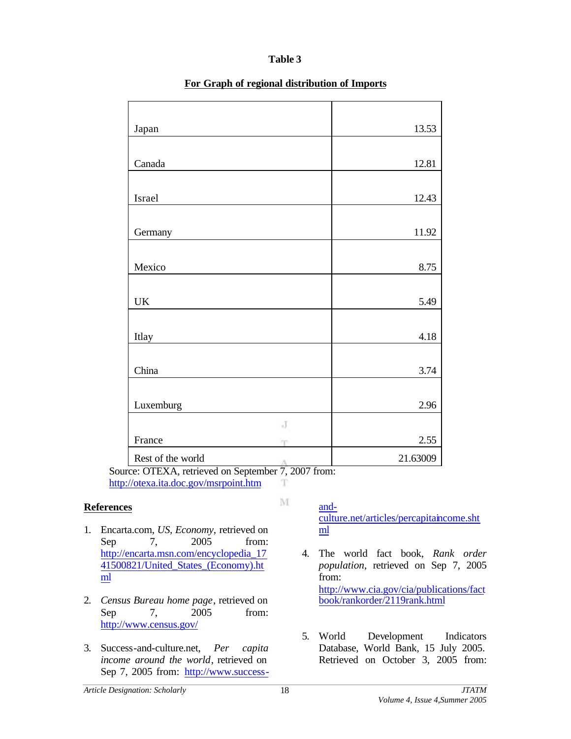# **Table 3**

| Japan                  | 13.53    |
|------------------------|----------|
|                        |          |
| Canada                 | 12.81    |
|                        |          |
| Israel                 | 12.43    |
|                        |          |
| Germany                | 11.92    |
|                        |          |
| Mexico                 | 8.75     |
|                        |          |
| UK                     | 5.49     |
|                        |          |
| Itlay                  | 4.18     |
|                        |          |
| China                  | 3.74     |
|                        |          |
| Luxemburg              | 2.96     |
| $_{\rm d}$             |          |
| France<br>m            | 2.55     |
| Rest of the world<br>Λ | 21.63009 |

# **For Graph of regional distribution of Imports**

Source: OTEXA, retrieved on September 7, 2007 from: http://otexa.ita.doc.gov/msrpoint.htm T

# **References**

- 1. Encarta.com, *US, Economy,* retrieved on Sep 7, 2005 from: http://encarta.msn.com/encyclopedia\_17 41500821/United\_States\_(Economy).ht ml
- 2. *Census Bureau home page*, retrieved on Sep 7, 2005 from: http://www.census.gov/
- 3. Success-and-culture.net, *Per capita income around the world*, retrieved on Sep 7, 2005 from: http://www.success-

andculture.net/articles/percapitaincome.sht ml

- 4. The world fact book, *Rank order population*, retrieved on Sep 7, 2005 from: http://www.cia.gov/cia/publications/fact book/rankorder/2119rank.html
- 5. World Development Indicators Database, World Bank, 15 July 2005. Retrieved on October 3, 2005 from:

M